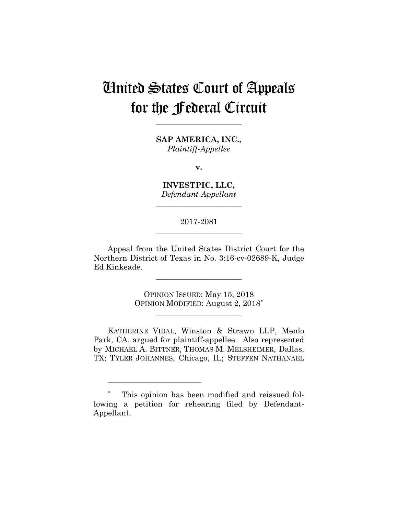# United States Court of Appeals for the Federal Circuit

**SAP AMERICA, INC.,** *Plaintiff-Appellee*

**\_\_\_\_\_\_\_\_\_\_\_\_\_\_\_\_\_\_\_\_\_\_** 

**v.**

**INVESTPIC, LLC,** *Defendant-Appellant*

**\_\_\_\_\_\_\_\_\_\_\_\_\_\_\_\_\_\_\_\_\_\_** 

2017-2081 **\_\_\_\_\_\_\_\_\_\_\_\_\_\_\_\_\_\_\_\_\_\_** 

Appeal from the United States District Court for the Northern District of Texas in No. 3:16-cv-02689-K, Judge Ed Kinkeade.

**\_\_\_\_\_\_\_\_\_\_\_\_\_\_\_\_\_\_\_\_\_\_** 

OPINION ISSUED: May 15, 2018 OPINION MODIFIED: August 2, 2018<sup>∗</sup>

**\_\_\_\_\_\_\_\_\_\_\_\_\_\_\_\_\_\_\_\_\_\_** 

 KATHERINE VIDAL, Winston & Strawn LLP, Menlo Park, CA, argued for plaintiff-appellee. Also represented by MICHAEL A. BITTNER, THOMAS M. MELSHEIMER, Dallas, TX; TYLER JOHANNES, Chicago, IL; STEFFEN NATHANAEL

<u>.</u>

<sup>∗</sup> This opinion has been modified and reissued following a petition for rehearing filed by Defendant-Appellant.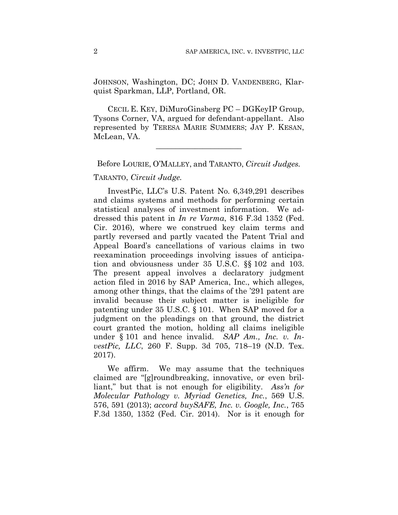JOHNSON, Washington, DC; JOHN D. VANDENBERG, Klarquist Sparkman, LLP, Portland, OR.

 CECIL E. KEY, DiMuroGinsberg PC – DGKeyIP Group, Tysons Corner, VA, argued for defendant-appellant. Also represented by TERESA MARIE SUMMERS; JAY P. KESAN, McLean, VA.

**\_\_\_\_\_\_\_\_\_\_\_\_\_\_\_\_\_\_\_\_\_\_** 

Before LOURIE, O'MALLEY, and TARANTO, *Circuit Judges.*

#### TARANTO, *Circuit Judge.*

InvestPic, LLC's U.S. Patent No. 6,349,291 describes and claims systems and methods for performing certain statistical analyses of investment information. We addressed this patent in *In re Varma*, 816 F.3d 1352 (Fed. Cir. 2016), where we construed key claim terms and partly reversed and partly vacated the Patent Trial and Appeal Board's cancellations of various claims in two reexamination proceedings involving issues of anticipation and obviousness under 35 U.S.C. §§ 102 and 103. The present appeal involves a declaratory judgment action filed in 2016 by SAP America, Inc., which alleges, among other things, that the claims of the '291 patent are invalid because their subject matter is ineligible for patenting under 35 U.S.C. § 101. When SAP moved for a judgment on the pleadings on that ground, the district court granted the motion, holding all claims ineligible under § 101 and hence invalid. *SAP Am., Inc. v. InvestPic, LLC*, 260 F. Supp. 3d 705, 718–19 (N.D. Tex. 2017).

We affirm. We may assume that the techniques claimed are "[g]roundbreaking, innovative, or even brilliant," but that is not enough for eligibility. *Ass'n for Molecular Pathology v. Myriad Genetics, Inc.*, 569 U.S. 576, 591 (2013); *accord buySAFE, Inc. v. Google, Inc.*, 765 F.3d 1350, 1352 (Fed. Cir. 2014). Nor is it enough for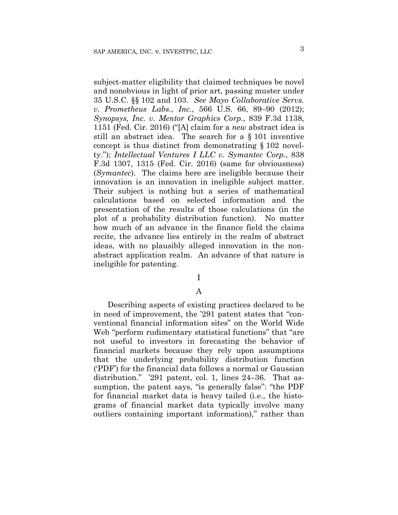subject-matter eligibility that claimed techniques be novel and nonobvious in light of prior art, passing muster under 35 U.S.C. §§ 102 and 103. *See Mayo Collaborative Servs. v. Prometheus Labs., Inc.*, 566 U.S. 66, 89–90 (2012); *Synopsys, Inc. v. Mentor Graphics Corp.*, 839 F.3d 1138, 1151 (Fed. Cir. 2016) ("[A] claim for a *new* abstract idea is still an abstract idea. The search for a § 101 inventive concept is thus distinct from demonstrating § 102 novelty."); *Intellectual Ventures I LLC v. Symantec Corp.*, 838 F.3d 1307, 1315 (Fed. Cir. 2016) (same for obviousness) (*Symantec*). The claims here are ineligible because their innovation is an innovation in ineligible subject matter. Their subject is nothing but a series of mathematical calculations based on selected information and the presentation of the results of those calculations (in the plot of a probability distribution function). No matter how much of an advance in the finance field the claims recite, the advance lies entirely in the realm of abstract ideas, with no plausibly alleged innovation in the nonabstract application realm. An advance of that nature is ineligible for patenting.

### I

#### A

Describing aspects of existing practices declared to be in need of improvement, the '291 patent states that "conventional financial information sites" on the World Wide Web "perform rudimentary statistical functions" that "are not useful to investors in forecasting the behavior of financial markets because they rely upon assumptions that the underlying probability distribution function ('PDF') for the financial data follows a normal or Gaussian distribution." '291 patent, col. 1, lines 24–36. That assumption, the patent says, "is generally false": "the PDF for financial market data is heavy tailed (i.e., the histograms of financial market data typically involve many outliers containing important information)," rather than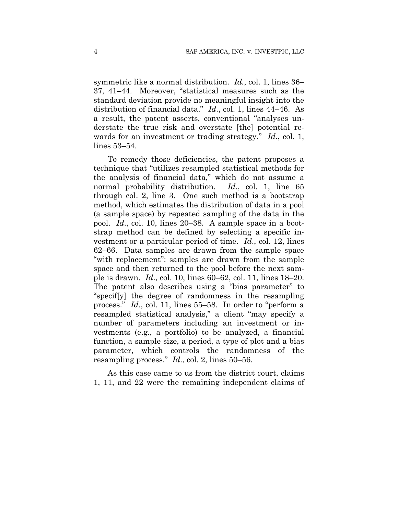symmetric like a normal distribution. *Id.*, col. 1, lines 36– 37, 41–44. Moreover, "statistical measures such as the standard deviation provide no meaningful insight into the distribution of financial data." *Id*., col. 1, lines 44–46. As a result, the patent asserts, conventional "analyses understate the true risk and overstate [the] potential rewards for an investment or trading strategy." *Id*., col. 1, lines 53–54.

To remedy those deficiencies, the patent proposes a technique that "utilizes resampled statistical methods for the analysis of financial data," which do not assume a normal probability distribution. *Id*., col. 1, line 65 through col. 2, line 3. One such method is a bootstrap method, which estimates the distribution of data in a pool (a sample space) by repeated sampling of the data in the pool. *Id*., col. 10, lines 20–38. A sample space in a bootstrap method can be defined by selecting a specific investment or a particular period of time. *Id*., col. 12, lines 62–66. Data samples are drawn from the sample space "with replacement": samples are drawn from the sample space and then returned to the pool before the next sample is drawn. *Id*., col. 10, lines 60–62, col. 11, lines 18–20. The patent also describes using a "bias parameter" to "specif[y] the degree of randomness in the resampling process." *Id*., col. 11, lines 55–58. In order to "perform a resampled statistical analysis," a client "may specify a number of parameters including an investment or investments (e.g., a portfolio) to be analyzed, a financial function, a sample size, a period, a type of plot and a bias parameter, which controls the randomness of the resampling process." *Id*., col. 2, lines 50–56.

As this case came to us from the district court, claims 1, 11, and 22 were the remaining independent claims of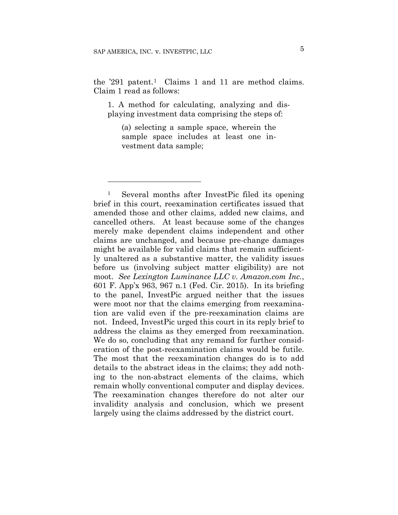1

the  $291$  patent.<sup>1</sup> Claims 1 and 11 are method claims. Claim 1 read as follows:

1. A method for calculating, analyzing and displaying investment data comprising the steps of:

(a) selecting a sample space, wherein the sample space includes at least one investment data sample;

<sup>1</sup> Several months after InvestPic filed its opening brief in this court, reexamination certificates issued that amended those and other claims, added new claims, and cancelled others. At least because some of the changes merely make dependent claims independent and other claims are unchanged, and because pre-change damages might be available for valid claims that remain sufficiently unaltered as a substantive matter, the validity issues before us (involving subject matter eligibility) are not moot. *See Lexington Luminance LLC v. Amazon.com Inc.*, 601 F. App'x 963, 967 n.1 (Fed. Cir. 2015). In its briefing to the panel, InvestPic argued neither that the issues were moot nor that the claims emerging from reexamination are valid even if the pre-reexamination claims are not. Indeed, InvestPic urged this court in its reply brief to address the claims as they emerged from reexamination. We do so, concluding that any remand for further consideration of the post-reexamination claims would be futile. The most that the reexamination changes do is to add details to the abstract ideas in the claims; they add nothing to the non-abstract elements of the claims, which remain wholly conventional computer and display devices. The reexamination changes therefore do not alter our invalidity analysis and conclusion, which we present largely using the claims addressed by the district court.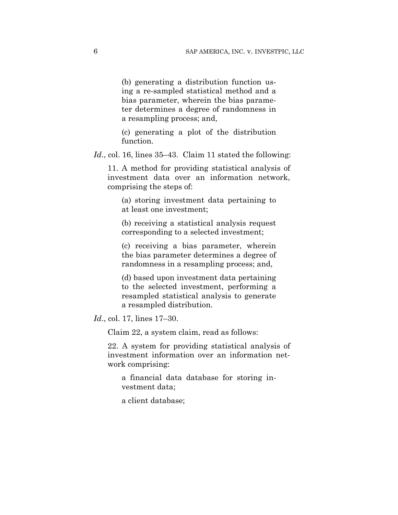(b) generating a distribution function using a re-sampled statistical method and a bias parameter, wherein the bias parameter determines a degree of randomness in a resampling process; and,

(c) generating a plot of the distribution function.

Id., col. 16, lines 35–43. Claim 11 stated the following:

11. A method for providing statistical analysis of investment data over an information network, comprising the steps of:

(a) storing investment data pertaining to at least one investment;

(b) receiving a statistical analysis request corresponding to a selected investment;

(c) receiving a bias parameter, wherein the bias parameter determines a degree of randomness in a resampling process; and,

(d) based upon investment data pertaining to the selected investment, performing a resampled statistical analysis to generate a resampled distribution.

*Id*., col. 17, lines 17–30.

Claim 22, a system claim, read as follows:

22. A system for providing statistical analysis of investment information over an information network comprising:

a financial data database for storing investment data;

a client database;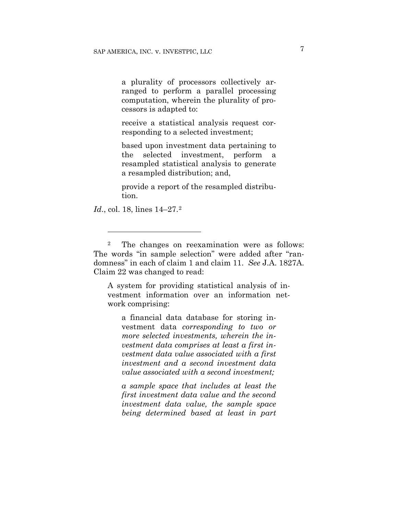a plurality of processors collectively arranged to perform a parallel processing computation, wherein the plurality of processors is adapted to:

receive a statistical analysis request corresponding to a selected investment;

based upon investment data pertaining to the selected investment, perform a resampled statistical analysis to generate a resampled distribution; and,

provide a report of the resampled distribution.

*Id.*, col. 18, lines 14–27.<sup>2</sup>

<u>.</u>

2 The changes on reexamination were as follows: The words "in sample selection" were added after "randomness" in each of claim 1 and claim 11. *See* J.A. 1827A. Claim 22 was changed to read:

A system for providing statistical analysis of investment information over an information network comprising:

a financial data database for storing investment data *corresponding to two or more selected investments, wherein the investment data comprises at least a first investment data value associated with a first investment and a second investment data value associated with a second investment;*

*a sample space that includes at least the first investment data value and the second investment data value, the sample space being determined based at least in part*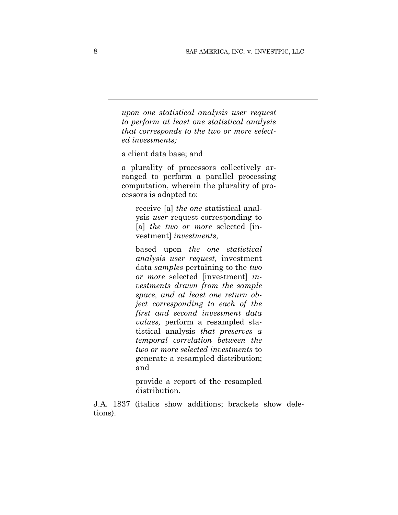*upon one statistical analysis user request to perform at least one statistical analysis that corresponds to the two or more selected investments;*

a client data base; and

a plurality of processors collectively arranged to perform a parallel processing computation, wherein the plurality of processors is adapted to:

receive [a] *the one* statistical analysis *user* request corresponding to [a] *the two or more* selected [investment] *investments*,

based upon *the one statistical analysis user request,* investment data *samples* pertaining to the *two or more* selected [investment] *investments drawn from the sample space, and at least one return object corresponding to each of the first and second investment data values,* perform a resampled statistical analysis *that preserves a temporal correlation between the two or more selected investments* to generate a resampled distribution; and

provide a report of the resampled distribution.

J.A. 1837 (italics show additions; brackets show deletions).

l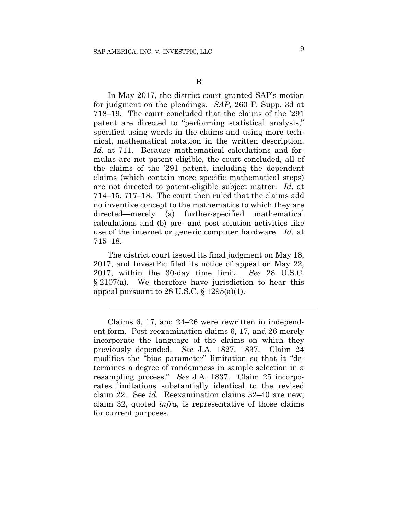$\overline{a}$ 

In May 2017, the district court granted SAP's motion for judgment on the pleadings. *SAP*, 260 F. Supp. 3d at 718–19. The court concluded that the claims of the '291 patent are directed to "performing statistical analysis," specified using words in the claims and using more technical, mathematical notation in the written description. *Id*. at 711.Because mathematical calculations and formulas are not patent eligible, the court concluded, all of the claims of the '291 patent, including the dependent claims (which contain more specific mathematical steps) are not directed to patent-eligible subject matter. *Id*. at 714–15, 717–18. The court then ruled that the claims add no inventive concept to the mathematics to which they are directed—merely (a) further-specified mathematical calculations and (b) pre- and post-solution activities like use of the internet or generic computer hardware. *Id*. at 715–18.

The district court issued its final judgment on May 18, 2017, and InvestPic filed its notice of appeal on May 22, 2017, within the 30-day time limit. *See* 28 U.S.C. § 2107(a). We therefore have jurisdiction to hear this appeal pursuant to 28 U.S.C.  $\S 1295(a)(1)$ .

Claims 6, 17, and 24–26 were rewritten in independent form. Post-reexamination claims 6, 17, and 26 merely incorporate the language of the claims on which they previously depended. *See* J.A. 1827, 1837. Claim 24 modifies the "bias parameter" limitation so that it "determines a degree of randomness in sample selection in a resampling process." *See* J.A. 1837. Claim 25 incorporates limitations substantially identical to the revised claim 22. See *id.* Reexamination claims 32–40 are new; claim 32, quoted *infra*, is representative of those claims for current purposes.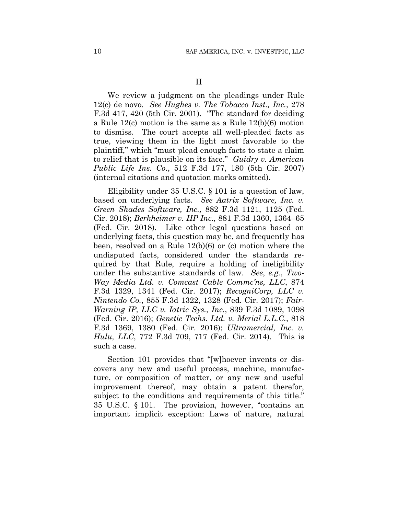We review a judgment on the pleadings under Rule 12(c) de novo. *See Hughes v. The Tobacco Inst., Inc.*, 278 F.3d 417, 420 (5th Cir. 2001). "The standard for deciding a Rule 12(c) motion is the same as a Rule 12(b)(6) motion to dismiss. The court accepts all well-pleaded facts as true, viewing them in the light most favorable to the plaintiff," which "must plead enough facts to state a claim to relief that is plausible on its face." *Guidry v. American Public Life Ins. Co.*, 512 F.3d 177, 180 (5th Cir. 2007) (internal citations and quotation marks omitted).

Eligibility under 35 U.S.C. § 101 is a question of law, based on underlying facts. *See Aatrix Software, Inc. v. Green Shades Software, Inc.,* 882 F.3d 1121, 1125 (Fed. Cir. 2018); *Berkheimer v. HP Inc.,* 881 F.3d 1360, 1364–65 (Fed. Cir. 2018). Like other legal questions based on underlying facts, this question may be, and frequently has been, resolved on a Rule 12(b)(6) or (c) motion where the undisputed facts, considered under the standards required by that Rule, require a holding of ineligibility under the substantive standards of law. *See*, *e.g.*, *Two-Way Media Ltd. v. Comcast Cable Commc'ns, LLC*, 874 F.3d 1329, 1341 (Fed. Cir. 2017); *RecogniCorp, LLC v. Nintendo Co.*, 855 F.3d 1322, 1328 (Fed. Cir. 2017); *Fair-Warning IP, LLC v. Iatric Sys., Inc.*, 839 F.3d 1089, 1098 (Fed. Cir. 2016); *Genetic Techs. Ltd. v. Merial L.L.C.*, 818 F.3d 1369, 1380 (Fed. Cir. 2016); *Ultramercial, Inc. v. Hulu, LLC*, 772 F.3d 709, 717 (Fed. Cir. 2014). This is such a case.

Section 101 provides that "[w]hoever invents or discovers any new and useful process, machine, manufacture, or composition of matter, or any new and useful improvement thereof, may obtain a patent therefor, subject to the conditions and requirements of this title." 35 U.S.C. § 101. The provision, however, "contains an important implicit exception: Laws of nature, natural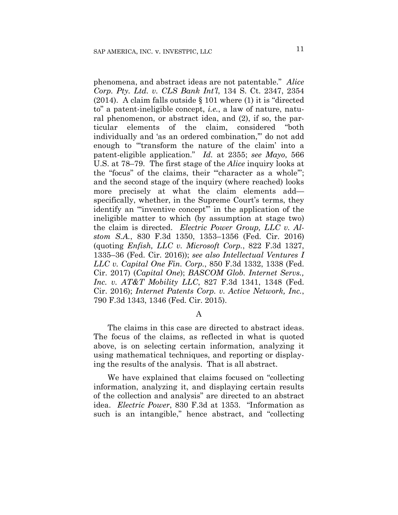phenomena, and abstract ideas are not patentable." *Alice Corp. Pty. Ltd. v. CLS Bank Int'l*, 134 S. Ct. 2347, 2354 (2014). A claim falls outside § 101 where (1) it is "directed to" a patent-ineligible concept, *i.e.*, a law of nature, natural phenomenon, or abstract idea, and (2), if so, the particular elements of the claim, considered "both individually and 'as an ordered combination,'" do not add enough to "'transform the nature of the claim' into a patent-eligible application." *Id.* at 2355; *see Mayo*, 566 U.S. at 78–79. The first stage of the *Alice* inquiry looks at the "focus" of the claims, their "'character as a whole'"; and the second stage of the inquiry (where reached) looks more precisely at what the claim elements add specifically, whether, in the Supreme Court's terms, they identify an "'inventive concept'" in the application of the ineligible matter to which (by assumption at stage two) the claim is directed. *Electric Power Group, LLC v. Alstom S.A.*, 830 F.3d 1350, 1353–1356 (Fed. Cir. 2016) (quoting *Enfish, LLC v. Microsoft Corp.*, 822 F.3d 1327, 1335–36 (Fed. Cir. 2016)); *see also Intellectual Ventures I LLC v. Capital One Fin. Corp.*, 850 F.3d 1332, 1338 (Fed. Cir. 2017) (*Capital One*); *BASCOM Glob. Internet Servs., Inc. v. AT&T Mobility LLC*, 827 F.3d 1341, 1348 (Fed. Cir. 2016); *Internet Patents Corp. v. Active Network, Inc.*, 790 F.3d 1343, 1346 (Fed. Cir. 2015).

#### A

The claims in this case are directed to abstract ideas. The focus of the claims, as reflected in what is quoted above, is on selecting certain information, analyzing it using mathematical techniques, and reporting or displaying the results of the analysis. That is all abstract.

We have explained that claims focused on "collecting information, analyzing it, and displaying certain results of the collection and analysis" are directed to an abstract idea. *Electric Power*, 830 F.3d at 1353. "Information as such is an intangible," hence abstract, and "collecting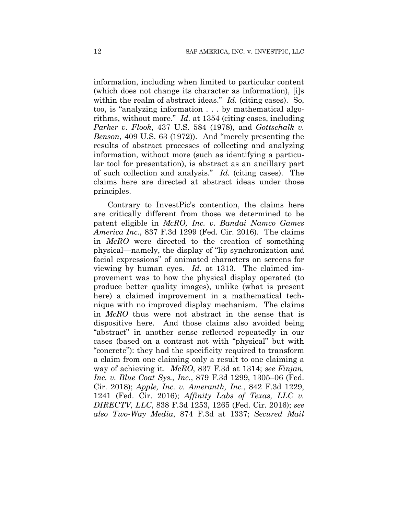information, including when limited to particular content (which does not change its character as information), [i]s within the realm of abstract ideas." *Id.* (citing cases). So, too, is "analyzing information . . . by mathematical algorithms, without more." *Id.* at 1354 (citing cases, including *Parker v. Flook*, 437 U.S. 584 (1978), and *Gottschalk v. Benson*, 409 U.S. 63 (1972)). And "merely presenting the results of abstract processes of collecting and analyzing information, without more (such as identifying a particular tool for presentation), is abstract as an ancillary part of such collection and analysis." *Id.* (citing cases). The claims here are directed at abstract ideas under those principles.

Contrary to InvestPic's contention, the claims here are critically different from those we determined to be patent eligible in *McRO, Inc. v. Bandai Namco Games America Inc.*, 837 F.3d 1299 (Fed. Cir. 2016). The claims in *McRO* were directed to the creation of something physical—namely, the display of "lip synchronization and facial expressions" of animated characters on screens for viewing by human eyes. *Id.* at 1313. The claimed improvement was to how the physical display operated (to produce better quality images), unlike (what is present here) a claimed improvement in a mathematical technique with no improved display mechanism. The claims in *McRO* thus were not abstract in the sense that is dispositive here. And those claims also avoided being "abstract" in another sense reflected repeatedly in our cases (based on a contrast not with "physical" but with "concrete"): they had the specificity required to transform a claim from one claiming only a result to one claiming a way of achieving it. *McRO*, 837 F.3d at 1314; *see Finjan, Inc. v. Blue Coat Sys., Inc.*, 879 F.3d 1299, 1305–06 (Fed. Cir. 2018); *Apple, Inc. v. Ameranth, Inc.*, 842 F.3d 1229, 1241 (Fed. Cir. 2016); *Affinity Labs of Texas, LLC v. DIRECTV, LLC*, 838 F.3d 1253, 1265 (Fed. Cir. 2016); *see also Two-Way Media*, 874 F.3d at 1337; *Secured Mail*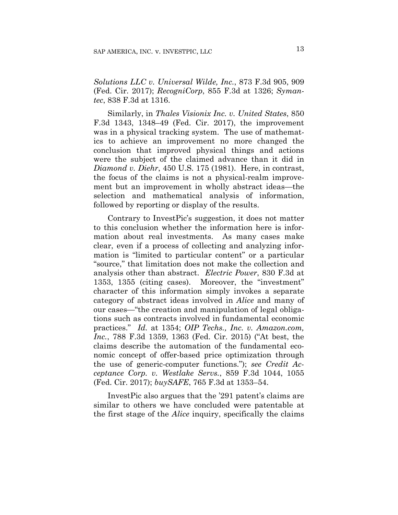*Solutions LLC v. Universal Wilde, Inc.*, 873 F.3d 905, 909 (Fed. Cir. 2017); *RecogniCorp*, 855 F.3d at 1326; *Symantec*, 838 F.3d at 1316.

Similarly, in *Thales Visionix Inc. v. United States*, 850 F.3d 1343, 1348–49 (Fed. Cir. 2017), the improvement was in a physical tracking system. The use of mathematics to achieve an improvement no more changed the conclusion that improved physical things and actions were the subject of the claimed advance than it did in *Diamond v. Diehr*, 450 U.S. 175 (1981). Here, in contrast, the focus of the claims is not a physical-realm improvement but an improvement in wholly abstract ideas—the selection and mathematical analysis of information, followed by reporting or display of the results.

Contrary to InvestPic's suggestion, it does not matter to this conclusion whether the information here is information about real investments. As many cases make clear, even if a process of collecting and analyzing information is "limited to particular content" or a particular "source," that limitation does not make the collection and analysis other than abstract. *Electric Power*, 830 F.3d at 1353, 1355 (citing cases). Moreover, the "investment" character of this information simply invokes a separate category of abstract ideas involved in *Alice* and many of our cases—"the creation and manipulation of legal obligations such as contracts involved in fundamental economic practices." *Id.* at 1354; *OIP Techs., Inc. v. Amazon.com, Inc.*, 788 F.3d 1359, 1363 (Fed. Cir. 2015) ("At best, the claims describe the automation of the fundamental economic concept of offer-based price optimization through the use of generic-computer functions."); *see Credit Acceptance Corp. v. Westlake Servs.*, 859 F.3d 1044, 1055 (Fed. Cir. 2017); *buySAFE*, 765 F.3d at 1353–54.

InvestPic also argues that the '291 patent's claims are similar to others we have concluded were patentable at the first stage of the *Alice* inquiry, specifically the claims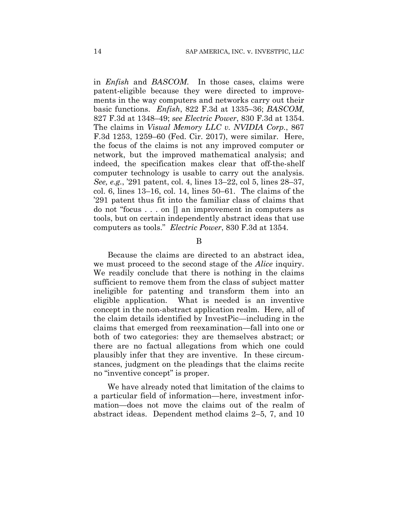in *Enfish* and *BASCOM*. In those cases, claims were patent-eligible because they were directed to improvements in the way computers and networks carry out their basic functions. *Enfish*, 822 F.3d at 1335–36; *BASCOM*, 827 F.3d at 1348–49; *see Electric Power*, 830 F.3d at 1354. The claims in *Visual Memory LLC v. NVIDIA Corp.*, 867 F.3d 1253, 1259–60 (Fed. Cir. 2017), were similar. Here, the focus of the claims is not any improved computer or network, but the improved mathematical analysis; and indeed, the specification makes clear that off-the-shelf computer technology is usable to carry out the analysis. *See, e.g.*, '291 patent, col. 4, lines 13–22, col 5, lines 28–37, col. 6, lines 13–16, col. 14, lines 50–61.The claims of the '291 patent thus fit into the familiar class of claims that do not "focus . . . on [] an improvement in computers as tools, but on certain independently abstract ideas that use computers as tools." *Electric Power*, 830 F.3d at 1354.

#### B

Because the claims are directed to an abstract idea, we must proceed to the second stage of the *Alice* inquiry. We readily conclude that there is nothing in the claims sufficient to remove them from the class of subject matter ineligible for patenting and transform them into an eligible application. What is needed is an inventive concept in the non-abstract application realm. Here, all of the claim details identified by InvestPic—including in the claims that emerged from reexamination—fall into one or both of two categories: they are themselves abstract; or there are no factual allegations from which one could plausibly infer that they are inventive. In these circumstances, judgment on the pleadings that the claims recite no "inventive concept" is proper.

We have already noted that limitation of the claims to a particular field of information—here, investment information—does not move the claims out of the realm of abstract ideas. Dependent method claims 2–5, 7, and 10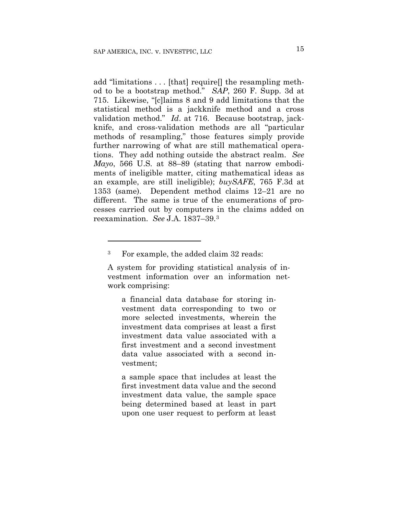add "limitations . . . [that] require[] the resampling method to be a bootstrap method." *SAP*, 260 F. Supp. 3d at 715. Likewise, "[c]laims 8 and 9 add limitations that the statistical method is a jackknife method and a cross validation method." *Id*. at 716. Because bootstrap, jackknife, and cross-validation methods are all "particular methods of resampling," those features simply provide further narrowing of what are still mathematical operations. They add nothing outside the abstract realm. *See Mayo*, 566 U.S. at 88–89 (stating that narrow embodiments of ineligible matter, citing mathematical ideas as an example, are still ineligible); *buySAFE*, 765 F.3d at 1353 (same). Dependent method claims 12–21 are no different. The same is true of the enumerations of processes carried out by computers in the claims added on reexamination. *See* J.A. 1837–39.3

<u>.</u>

a financial data database for storing investment data corresponding to two or more selected investments, wherein the investment data comprises at least a first investment data value associated with a first investment and a second investment data value associated with a second investment;

a sample space that includes at least the first investment data value and the second investment data value, the sample space being determined based at least in part upon one user request to perform at least

<sup>3</sup> For example, the added claim 32 reads:

A system for providing statistical analysis of investment information over an information network comprising: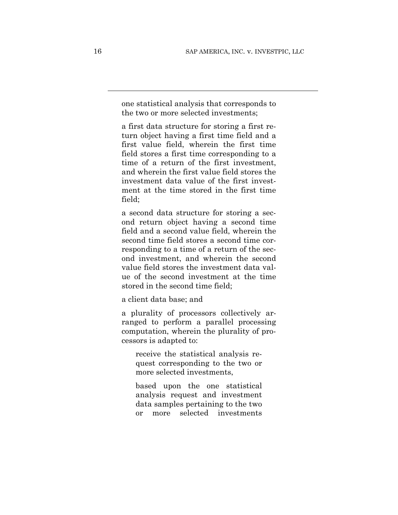one statistical analysis that corresponds to the two or more selected investments;

a first data structure for storing a first return object having a first time field and a first value field, wherein the first time field stores a first time corresponding to a time of a return of the first investment, and wherein the first value field stores the investment data value of the first investment at the time stored in the first time field;

a second data structure for storing a second return object having a second time field and a second value field, wherein the second time field stores a second time corresponding to a time of a return of the second investment, and wherein the second value field stores the investment data value of the second investment at the time stored in the second time field;

a client data base; and

a plurality of processors collectively arranged to perform a parallel processing computation, wherein the plurality of processors is adapted to:

receive the statistical analysis request corresponding to the two or more selected investments,

based upon the one statistical analysis request and investment data samples pertaining to the two or more selected investments

 $\overline{a}$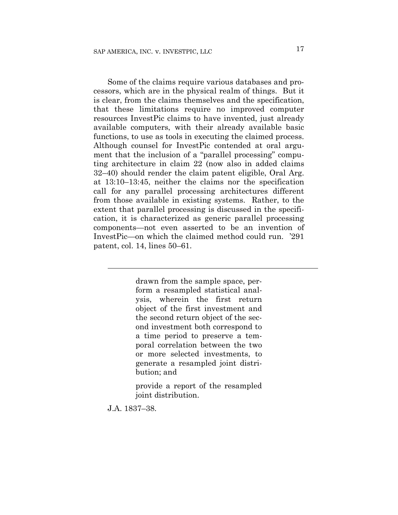Some of the claims require various databases and processors, which are in the physical realm of things. But it is clear, from the claims themselves and the specification, that these limitations require no improved computer resources InvestPic claims to have invented, just already available computers, with their already available basic functions, to use as tools in executing the claimed process. Although counsel for InvestPic contended at oral argument that the inclusion of a "parallel processing" computing architecture in claim 22 (now also in added claims 32–40) should render the claim patent eligible, Oral Arg. at 13:10–13:45, neither the claims nor the specification call for any parallel processing architectures different from those available in existing systems. Rather, to the extent that parallel processing is discussed in the specification, it is characterized as generic parallel processing components—not even asserted to be an invention of InvestPic—on which the claimed method could run. '291 patent, col. 14, lines 50–61.

> drawn from the sample space, perform a resampled statistical analysis, wherein the first return object of the first investment and the second return object of the second investment both correspond to a time period to preserve a temporal correlation between the two or more selected investments, to generate a resampled joint distribution; and

> provide a report of the resampled joint distribution.

J.A. 1837–38.

 $\overline{a}$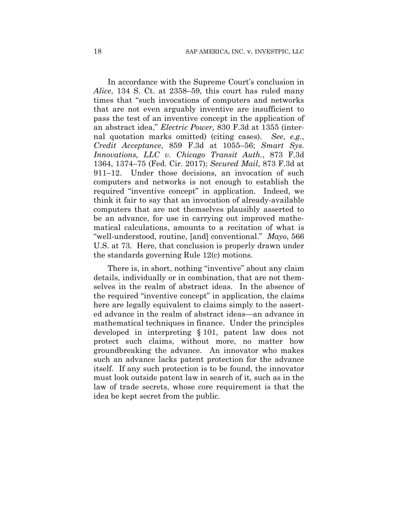In accordance with the Supreme Court's conclusion in *Alice*, 134 S. Ct. at 2358–59, this court has ruled many times that "such invocations of computers and networks that are not even arguably inventive are insufficient to pass the test of an inventive concept in the application of an abstract idea," *Electric Power*, 830 F.3d at 1355 (internal quotation marks omitted) (citing cases). *See*, *e.g.*, *Credit Acceptance*, 859 F.3d at 1055–56; *Smart Sys. Innovations, LLC v. Chicago Transit Auth.*, 873 F.3d 1364, 1374–75 (Fed. Cir. 2017); *Secured Mail*, 873 F.3d at 911–12. Under those decisions, an invocation of such computers and networks is not enough to establish the required "inventive concept" in application. Indeed, we think it fair to say that an invocation of already-available computers that are not themselves plausibly asserted to be an advance, for use in carrying out improved mathematical calculations, amounts to a recitation of what is "well-understood, routine, [and] conventional." *Mayo*, 566 U.S. at 73. Here, that conclusion is properly drawn under the standards governing Rule 12(c) motions.

There is, in short, nothing "inventive" about any claim details, individually or in combination, that are not themselves in the realm of abstract ideas. In the absence of the required "inventive concept" in application, the claims here are legally equivalent to claims simply to the asserted advance in the realm of abstract ideas—an advance in mathematical techniques in finance. Under the principles developed in interpreting § 101, patent law does not protect such claims, without more, no matter how groundbreaking the advance. An innovator who makes such an advance lacks patent protection for the advance itself. If any such protection is to be found, the innovator must look outside patent law in search of it, such as in the law of trade secrets, whose core requirement is that the idea be kept secret from the public.